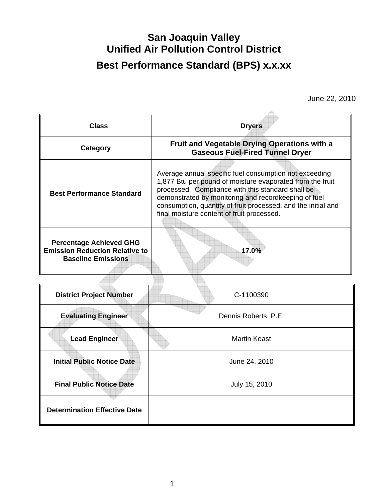## **San Joaquin Valley Unified Air Pollution Control District Best Performance Standard (BPS) x.x.xx**

June 22, 2010

| <b>Class</b>                                                                                         | <b>Dryers</b>                                                                                                                                                                                                                                                                                                                                   |  |  |
|------------------------------------------------------------------------------------------------------|-------------------------------------------------------------------------------------------------------------------------------------------------------------------------------------------------------------------------------------------------------------------------------------------------------------------------------------------------|--|--|
| Category                                                                                             | Fruit and Vegetable Drying Operations with a<br><b>Gaseous Fuel-Fired Tunnel Dryer</b>                                                                                                                                                                                                                                                          |  |  |
| <b>Best Performance Standard</b>                                                                     | Average annual specific fuel consumption not exceeding<br>1,877 Btu per pound of moisture evaporated from the fruit<br>processed. Compliance with this standard shall be<br>demonstrated by monitoring and recordkeeping of fuel<br>consumption, quantity of fruit processed, and the initial and<br>final moisture content of fruit processed. |  |  |
| <b>Percentage Achieved GHG</b><br><b>Emission Reduction Relative to</b><br><b>Baseline Emissions</b> | 17.0%                                                                                                                                                                                                                                                                                                                                           |  |  |
|                                                                                                      |                                                                                                                                                                                                                                                                                                                                                 |  |  |
| <b>District Project Number</b>                                                                       | C-1100390                                                                                                                                                                                                                                                                                                                                       |  |  |
| <b>Evaluating Engineer</b>                                                                           | Dennis Roberts, P.E.                                                                                                                                                                                                                                                                                                                            |  |  |
| <b>Lead Engineer</b>                                                                                 | <b>Martin Keast</b>                                                                                                                                                                                                                                                                                                                             |  |  |
| <b>Initial Public Notice Date</b>                                                                    | June 24, 2010                                                                                                                                                                                                                                                                                                                                   |  |  |
| <b>Final Public Notice Date</b>                                                                      | July 15, 2010                                                                                                                                                                                                                                                                                                                                   |  |  |
| <b>Determination Effective Date</b>                                                                  |                                                                                                                                                                                                                                                                                                                                                 |  |  |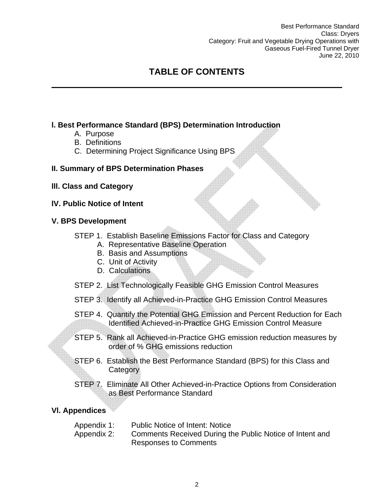Best Performance Standard Class: Dryers Category: Fruit and Vegetable Drying Operations with Gaseous Fuel-Fired Tunnel Dryer June 22, 2010

## **TABLE OF CONTENTS**

### **l. Best Performance Standard (BPS) Determination Introduction**

- A. Purpose
- B. Definitions
- C. Determining Project Significance Using BPS

#### **II. Summary of BPS Determination Phases**

- **lll. Class and Category**
- **lV. Public Notice of Intent**

#### **V. BPS Development**

- STEP 1. Establish Baseline Emissions Factor for Class and Category
	- A. Representative Baseline Operation
	- B. Basis and Assumptions
	- C. Unit of Activity
	- D. Calculations
- STEP 2. List Technologically Feasible GHG Emission Control Measures
- STEP 3. Identify all Achieved-in-Practice GHG Emission Control Measures
- STEP 4. Quantify the Potential GHG Emission and Percent Reduction for Each Identified Achieved-in-Practice GHG Emission Control Measure
- STEP 5. Rank all Achieved-in-Practice GHG emission reduction measures by order of % GHG emissions reduction
- STEP 6. Establish the Best Performance Standard (BPS) for this Class and **Category**
- STEP 7. Eliminate All Other Achieved-in-Practice Options from Consideration as Best Performance Standard

#### **Vl. Appendices**

- Appendix 1: Public Notice of Intent: Notice
- Appendix 2: Comments Received During the Public Notice of Intent and Responses to Comments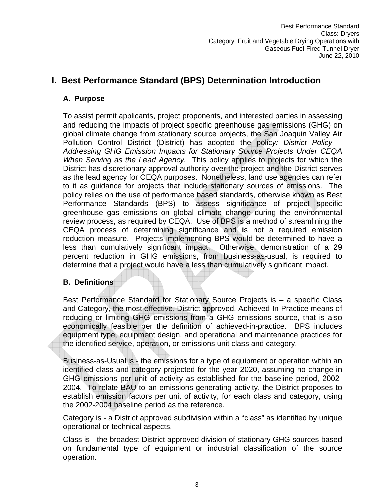## **I. Best Performance Standard (BPS) Determination Introduction**

#### **A. Purpose**

To assist permit applicants, project proponents, and interested parties in assessing and reducing the impacts of project specific greenhouse gas emissions (GHG) on global climate change from stationary source projects, the San Joaquin Valley Air Pollution Control District (District) has adopted the polic*y: District Policy – Addressing GHG Emission Impacts for Stationary Source Projects Under CEQA When Serving as the Lead Agency.* This policy applies to projects for which the District has discretionary approval authority over the project and the District serves as the lead agency for CEQA purposes. Nonetheless, land use agencies can refer to it as guidance for projects that include stationary sources of emissions. The policy relies on the use of performance based standards, otherwise known as Best Performance Standards (BPS) to assess significance of project specific greenhouse gas emissions on global climate change during the environmental review process, as required by CEQA. Use of BPS is a method of streamlining the CEQA process of determining significance and is not a required emission reduction measure. Projects implementing BPS would be determined to have a less than cumulatively significant impact. Otherwise, demonstration of a 29 percent reduction in GHG emissions, from business-as-usual, is required to determine that a project would have a less than cumulatively significant impact.

#### **B. Definitions**

Best Performance Standard for Stationary Source Projects is – a specific Class and Category, the most effective, District approved, Achieved-In-Practice means of reducing or limiting GHG emissions from a GHG emissions source, that is also economically feasible per the definition of achieved-in-practice. BPS includes equipment type, equipment design, and operational and maintenance practices for the identified service, operation, or emissions unit class and category.

Business-as-Usual is - the emissions for a type of equipment or operation within an identified class and category projected for the year 2020, assuming no change in GHG emissions per unit of activity as established for the baseline period, 2002- 2004. To relate BAU to an emissions generating activity, the District proposes to establish emission factors per unit of activity, for each class and category, using the 2002-2004 baseline period as the reference.

Category is - a District approved subdivision within a "class" as identified by unique operational or technical aspects.

Class is - the broadest District approved division of stationary GHG sources based on fundamental type of equipment or industrial classification of the source operation.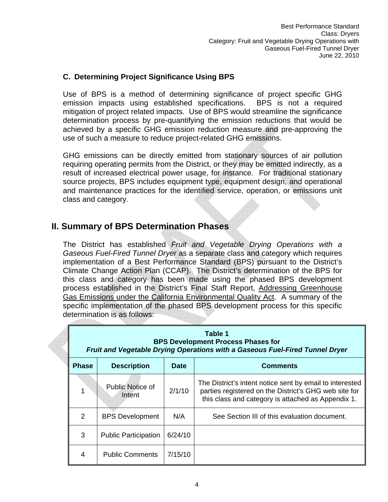#### **C. Determining Project Significance Using BPS**

Use of BPS is a method of determining significance of project specific GHG emission impacts using established specifications. BPS is not a required mitigation of project related impacts. Use of BPS would streamline the significance determination process by pre-quantifying the emission reductions that would be achieved by a specific GHG emission reduction measure and pre-approving the use of such a measure to reduce project-related GHG emissions.

GHG emissions can be directly emitted from stationary sources of air pollution requiring operating permits from the District, or they may be emitted indirectly, as a result of increased electrical power usage, for instance. For traditional stationary source projects, BPS includes equipment type, equipment design, and operational and maintenance practices for the identified service, operation, or emissions unit class and category.

### **II. Summary of BPS Determination Phases**

The District has established *Fruit and Vegetable Drying Operations with a Gaseous Fuel-Fired Tunnel Dryer* as a separate class and category which requires implementation of a Best Performance Standard (BPS) pursuant to the District's Climate Change Action Plan (CCAP). The District's determination of the BPS for this class and category has been made using the phased BPS development process established in the District's Final Staff Report, Addressing Greenhouse Gas Emissions under the California Environmental Quality Act. A summary of the specific implementation of the phased BPS development process for this specific determination is as follows:

|              | Table 1<br><b>BPS Development Process Phases for</b><br>Fruit and Vegetable Drying Operations with a Gaseous Fuel-Fired Tunnel Dryer |             |                                                                                                                                                                         |  |  |
|--------------|--------------------------------------------------------------------------------------------------------------------------------------|-------------|-------------------------------------------------------------------------------------------------------------------------------------------------------------------------|--|--|
| <b>Phase</b> | <b>Description</b>                                                                                                                   | <b>Date</b> | <b>Comments</b>                                                                                                                                                         |  |  |
|              | Public Notice of<br>Intent                                                                                                           | 2/1/10      | The District's intent notice sent by email to interested<br>parties registered on the District's GHG web site for<br>this class and category is attached as Appendix 1. |  |  |
| 2            | <b>BPS Development</b>                                                                                                               | N/A         | See Section III of this evaluation document.                                                                                                                            |  |  |
| 3            | <b>Public Participation</b>                                                                                                          | 6/24/10     |                                                                                                                                                                         |  |  |
| 4            | <b>Public Comments</b>                                                                                                               | 7/15/10     |                                                                                                                                                                         |  |  |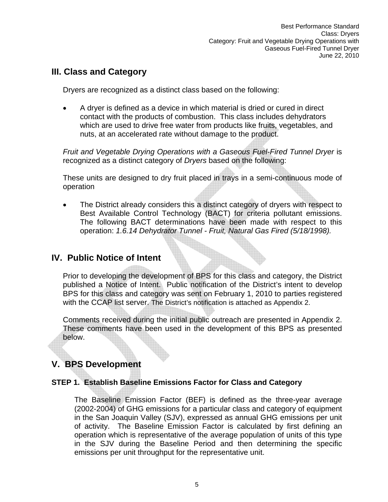## **III. Class and Category**

Dryers are recognized as a distinct class based on the following:

• A dryer is defined as a device in which material is dried or cured in direct contact with the products of combustion. This class includes dehydrators which are used to drive free water from products like fruits, vegetables, and nuts, at an accelerated rate without damage to the product.

*Fruit and Vegetable Drying Operations with a Gaseous Fuel-Fired Tunnel Dryer* is recognized as a distinct category of *Dryers* based on the following:

These units are designed to dry fruit placed in trays in a semi-continuous mode of operation

The District already considers this a distinct category of dryers with respect to Best Available Control Technology (BACT) for criteria pollutant emissions. The following BACT determinations have been made with respect to this operation: *1.6.14 Dehydrator Tunnel - Fruit, Natural Gas Fired (5/18/1998).* 

### **IV. Public Notice of Intent**

Prior to developing the development of BPS for this class and category, the District published a Notice of Intent. Public notification of the District's intent to develop BPS for this class and category was sent on February 1, 2010 to parties registered with the CCAP list server. The District's notification is attached as Appendix 2.

Comments received during the initial public outreach are presented in Appendix 2. These comments have been used in the development of this BPS as presented below.

## **V. BPS Development**

#### **STEP 1. Establish Baseline Emissions Factor for Class and Category**

The Baseline Emission Factor (BEF) is defined as the three-year average (2002-2004) of GHG emissions for a particular class and category of equipment in the San Joaquin Valley (SJV), expressed as annual GHG emissions per unit of activity. The Baseline Emission Factor is calculated by first defining an operation which is representative of the average population of units of this type in the SJV during the Baseline Period and then determining the specific emissions per unit throughput for the representative unit.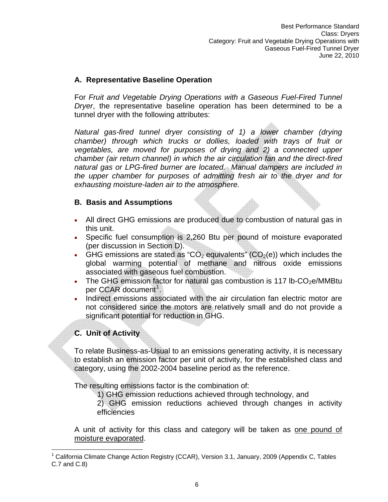#### **A. Representative Baseline Operation**

For *Fruit and Vegetable Drying Operations with a Gaseous Fuel-Fired Tunnel Dryer*, the representative baseline operation has been determined to be a tunnel dryer with the following attributes:

*Natural gas-fired tunnel dryer consisting of 1) a lower chamber (drying chamber) through which trucks or dollies, loaded with trays of fruit or vegetables, are moved for purposes of drying and 2) a connected upper chamber (air return channel) in which the air circulation fan and the direct-fired natural gas or LPG-fired burner are located. Manual dampers are included in the upper chamber for purposes of admitting fresh air to the dryer and for exhausting moisture-laden air to the atmosphere.* 

#### **B. Basis and Assumptions**

- All direct GHG emissions are produced due to combustion of natural gas in this unit.
- Specific fuel consumption is 2,260 Btu per pound of moisture evaporated (per discussion in Section D).
- GHG emissions are stated as "CO<sub>2</sub> equivalents" (CO<sub>2</sub>(e)) which includes the global warming potential of methane and nitrous oxide emissions associated with gaseous fuel combustion.
- The GHG emission factor for natural gas combustion is 117 lb-CO<sub>2</sub>e/MMBtu per CCAR document<sup>[1](#page-5-0)</sup>.
- Indirect emissions associated with the air circulation fan electric motor are not considered since the motors are relatively small and do not provide a significant potential for reduction in GHG.

### **C. Unit of Activity**

1

To relate Business-as-Usual to an emissions generating activity, it is necessary to establish an emission factor per unit of activity, for the established class and category, using the 2002-2004 baseline period as the reference.

The resulting emissions factor is the combination of:

1) GHG emission reductions achieved through technology, and

2) GHG emission reductions achieved through changes in activity efficiencies

A unit of activity for this class and category will be taken as one pound of moisture evaporated.

<span id="page-5-0"></span><sup>&</sup>lt;sup>1</sup> California Climate Change Action Registry (CCAR), Version 3.1, January, 2009 (Appendix C, Tables C.7 and C.8)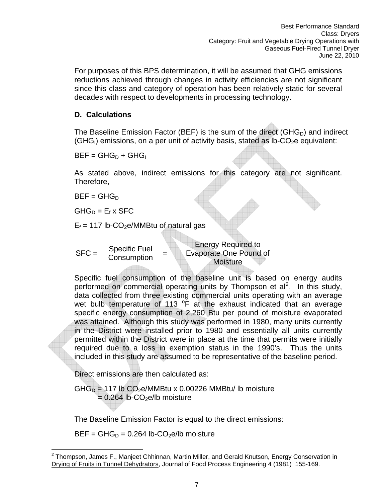reductions achieved through changes in activity efficiencies are not significant since this class and category of operation has been relatively static for several decades with respect to developments in processing technology. For purposes of this BPS determination, it will be assumed that GHG emissions

#### **D. Calculations**

The Baseline Emission Factor (BEF) is the sum of the direct (GHG $_D$ ) and indirect  $(GHG<sub>l</sub>)$  emissions, on a per unit of activity basis, stated as Ib-CO<sub>2</sub>e equivalent:

 $BEF = GHG_D + GHG_I$ 

As stated above, indirect emissions for this category are not significant. Therefore,

 $BEF = GHG_D$ 

 $GHG_D = E_f \times SFC$ 

 $E_f$  = 117 lb-CO<sub>2</sub>e/MMBtu of natural gas

 $SFC =$  Specific Fuel **Consumption** 

Energy Required to Evaporate One Pound of **Moisture** 

Specific fuel consumption of the baseline unit is based on energy audits performed on commercial operating units by Thompson et  $al^2$ . In this study, data collected from three existing commercial units operating with an average wet bulb temperature of 113  $\degree$ F at the exhaust indicated that an average specific energy consumption of 2,260 Btu per pound of moisture evaporated was attained. Although this study was performed in 1980, many units currently in the District were installed prior to 1980 and essentially all units currently permitted within the District were in place at the time that permits were initially required due to a loss in exemption status in the 1990's. Thus the units included in this study are assumed to be representative of the baseline period.

Direct emissions are then calculated as:

 $GHG<sub>D</sub> = 117$  lb  $CO<sub>2</sub>e/MMBtu \times 0.00226 MMBtu / lb$  moisture  $= 0.264$  lb-CO<sub>2</sub>e/lb moisture

The Baseline Emission Factor is equal to the direct emissions:

 $BEF = GHG_D = 0.264$  lb-CO<sub>2</sub>e/lb moisture

<span id="page-6-0"></span><sup>1</sup> <sup>2</sup> Thompson, James F., Manjeet Chhinnan, Martin Miller, and Gerald Knutson, Energy Conservation in Drying of Fruits in Tunnel Dehydrators, Journal of Food Process Engineering 4 (1981) 155-169.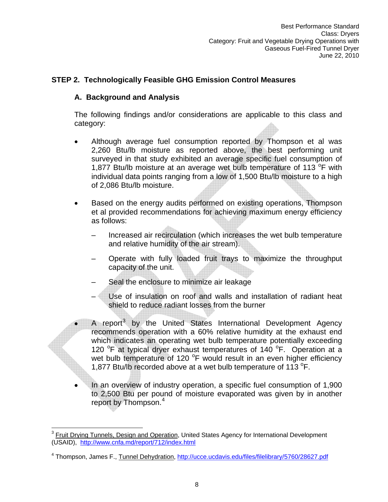#### **STEP 2. Technologically Feasible GHG Emission Control Measures**

#### **A. Background and Analysis**

The following findings and/or considerations are applicable to this class and category:

- 2,260 Btu/lb moisture as reported above, the best performing unit surveyed in that study exhibited an average specific fuel consumption of surface specific fuel consumption of of 2,086 Btu/lb moisture. • Although average fuel consumption reported by Thompson et al was 1,877 Btu/lb moisture at an average wet bulb temperature of 113 $\,^{\circ}$ F with individual data points ranging from a low of 1,500 Btu/lb moisture to a high
- Based on the energy audits performed on existing operations, Thompson et al provided recommendations for achieving maximum energy efficiency • as follows:
	- Increased air recirculation (which increases the wet bulb temperature and relative humidity of the air stream).
	- Operate with fully loaded fruit trays to maximize the throughput capacity of the unit.
	- Seal the enclosure to minimize air leakage
	- Use of insulation on roof and walls and installation of radiant heat shield to reduce radiant losses from the burner
- 1,877 Btu/lb recorded above at a wet bulb temperature of 113  $^{\circ}$ F.  $\bullet$  A report<sup>[3](#page-6-0)</sup> by the United States International Development Agency recommends operation with a 60% relative humidity at the exhaust end which indicates an operating wet bulb temperature potentially exceeding 120 °F at typical dryer exhaust temperatures of 140 °F. Operation at a wet bulb temperature of 120 °F would result in an even higher efficiency
- In an overview of industry operation, a specific fuel consumption of 1,900 to 2,500 Btu per pound of moisture evaporated was given by in another report by Thompson.<sup>4</sup>

<sup>1</sup>  $3$  Fruit Drying Tunnels, Design and Operation, United States Agency for International Development (USAID), http://www.cnfa.md/report/712/index.html

<sup>&</sup>lt;sup>4</sup> Thompson, James F., Tunnel Dehydration, http://ucce.ucdavis.edu/files/filelibrary/5760/28627.pdf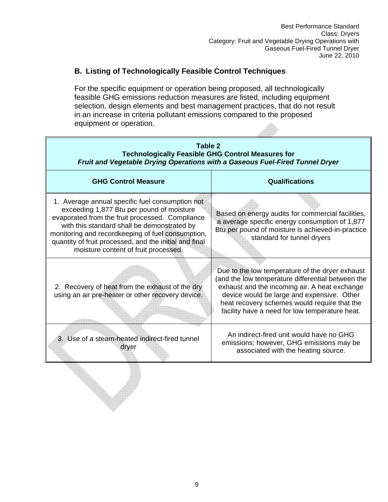#### **. Listing of Technologically Feasible Control Techniques B**

For the specific equipment or operation being proposed, all technologically feasible GHG emissions reduction measures are listed, including equipment selection, design elements and best management practices, that do not result equipment or operation. in an increase in criteria pollutant emissions compared to the proposed

| Table 2<br><b>Technologically Feasible GHG Control Measures for</b><br>Fruit and Vegetable Drying Operations with a Gaseous Fuel-Fired Tunnel Dryer                                                                                                                                                                                                   |                                                                                                                                                                                                                                                                                                       |  |  |  |
|-------------------------------------------------------------------------------------------------------------------------------------------------------------------------------------------------------------------------------------------------------------------------------------------------------------------------------------------------------|-------------------------------------------------------------------------------------------------------------------------------------------------------------------------------------------------------------------------------------------------------------------------------------------------------|--|--|--|
| <b>GHG Control Measure</b>                                                                                                                                                                                                                                                                                                                            | <b>Qualifications</b>                                                                                                                                                                                                                                                                                 |  |  |  |
| 1. Average annual specific fuel consumption not<br>exceeding 1,877 Btu per pound of moisture<br>evaporated from the fruit processed. Compliance<br>with this standard shall be demonstrated by<br>monitoring and recordkeeping of fuel consumption,<br>quantity of fruit processed, and the initial and final<br>moisture content of fruit processed. | Based on energy audits for commercial facilities,<br>a average specific energy consumption of 1,877<br>Btu per pound of moisture is achieved-in-practice<br>standard for tunnel dryers                                                                                                                |  |  |  |
| 2. Recovery of heat from the exhaust of the dry<br>using an air pre-heater or other recovery device.                                                                                                                                                                                                                                                  | Due to the low temperature of the dryer exhaust<br>(and the low temperature differential between the<br>exhaust and the incoming air. A heat exchange<br>device would be large and expensive. Other<br>heat recovery schemes would require that the<br>facility have a need for low temperature heat. |  |  |  |
| 3. Use of a steam-heated indirect-fired tunnel<br>dryer                                                                                                                                                                                                                                                                                               | An indirect-fired unit would have no GHG<br>emissions; however, GHG emissions may be<br>associated with the heating source.                                                                                                                                                                           |  |  |  |
|                                                                                                                                                                                                                                                                                                                                                       |                                                                                                                                                                                                                                                                                                       |  |  |  |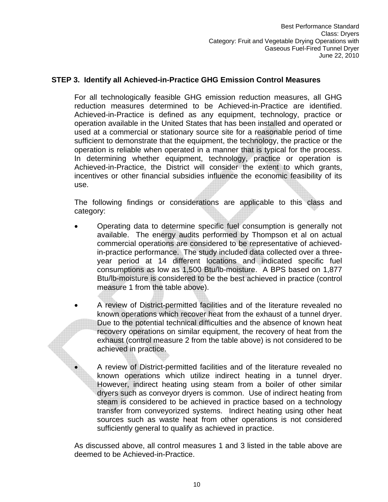#### **STEP 3. Identify all Achieved-in-Practice GHG Emission Control Measures**

For all technologically feasible GHG emission reduction measures, all GHG reduction measures determined to be Achieved-in-Practice are identified. Achieved-in-Practice is defined as any equipment, technology, practice or operation available in the United States that has been installed and operated or used at a commercial or stationary source site for a reasonable period of time sufficient to demonstrate that the equipment, the technology, the practice or the operation is reliable when operated in a manner that is typical for the process. I n determining whether equipment, technology, practice or operation is A chieved-in-Practice, the District will consider the extent to which grants, incentives or other financial subsidies influence the economic feasibility of its use.

The following findings or considerations are applicable to this class and category:

- Operating data to determine specific fuel consumption is generally not available. The energy audits performed by Thompson et al on actual commercial operations are considered to be representative of achievedin-practice performance. The study included data collected over a threeyear period at 14 different locations and indicated specific fuel consumptions as low as 1,500 Btu /lb-moisture. A BPS based on 1,877 Btu/lb-moisture is considered to be the best achieved in practice (control measure 1 from the table above).
- A review of District-permitted facilities and of the literature revealed no known operations which recover heat from the exhaust of a tunnel dryer. Due to the potential technical difficulties and the absence of known heat recovery operations on similar equipment, the recovery of heat from the exhaust (control measure 2 from the table above) is not considered to be achieved in practice.

• A review of District-permitted facilities and of the literature revealed no known operations which utilize indirect heating in a tunnel dryer. However, indirect heating using steam from a boiler of other similar dryers such as conveyor dryers is common. Use of indirect heating from steam is considered to be achieved in practice based on a technology transfer from conveyorized systems. Indirect heating using other heat sources such as waste heat from other operations is not considered sufficiently general to qualify as achieved in practice.

As discussed above, all control measures 1 and 3 listed in the table above are deemed to be Achieved-in-Practice.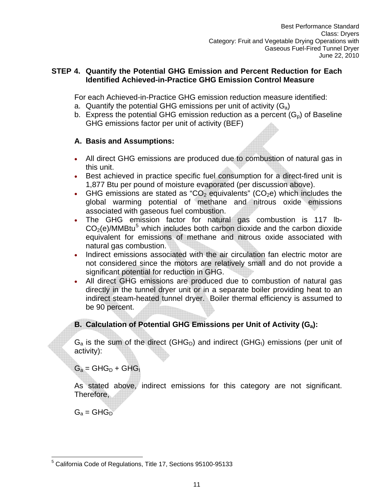#### **STEP 4. Quantify the Potential GHG Emission and Percent Reduction for Each Identified Achieved-in-Practice GHG Emission Control Measure**

For each Achieved-in-Practice GHG emission reduction measure identified:

- a. Quantify the potential GHG emissions per unit of activity  $(G_a)$
- b. Express the potential GHG emission reduction as a percent  $(G_p)$  of Baseline GHG emissions factor per unit of activity (BEF)

#### **A. Basis and Assumptions:**

- All direct GHG emissions are produced due to combustion of natural gas in this unit.
- 1,877 Btu per pound of moisture evaporated (per discussion above). • Best achieved in practice specific fuel consumption for a direct-fired unit is
- GHG emissions are stated as "CO<sub>2</sub> equivalents" (CO<sub>2</sub>e) which includes the associated with gaseous fuel combustion. global warming potential of methane and nitrous oxide emissions
- The GHG emission factor for natural gas combustion is 117 lb- $CO<sub>2</sub>(e)/MMBtu<sup>5</sup>$  which includes both carbon dioxide and the carbon dioxide equ ivalent for emissions of methane and nitrous oxide associated with natural gas combustion.
- Ind irect emissions associated with the air circulation fan electric motor are not considered since the motors are relatively small and do not provide a sig nificant potential for reduction in GHG.
- All direct GHG emissions are produced due to combustion of natural gas directly in the tunnel dryer unit or in a separate boiler providing heat to an indirect steam-heated tunnel dryer. Boiler thermal efficiency is assumed to be 90 percent.

### **B. Calculation of Potential GHG Emissions per Unit of Activity (G<sub>a</sub>):**

 $G_a$  is the sum of the direct (GHG<sub>D</sub>) and indirect (GHG<sub>I</sub>) emissions (per unit of activity ):

 $G_a = GHG_D + GHG_I$ 

As sta ted above, indirect emissions for this category are not significant. Theref ore,

 $G_a = GHG_D$ 

 5 California Code of Regulations, Title 17, Sections 95100-95133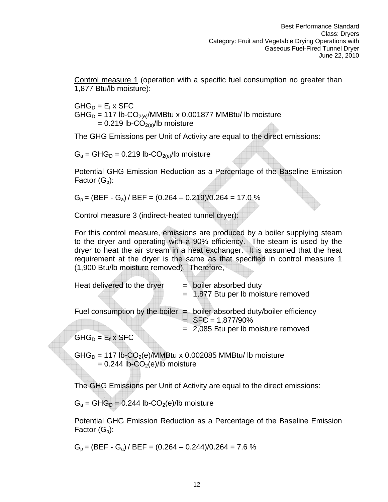Control measure 1 (operation with a specific fuel consumption no greater than ,877 Btu/lb moisture): 1

 $GHG_D = E_f \times SFC$  $GHG_D = 117$  lb-CO<sub>2(e)</sub>/MMBtu x 0.001877 MMBtu/ lb moisture  $= 0.219$  lb-CO<sub>2(e)</sub>/lb moisture

The GHG Emissions per Unit of Activity are equal to the direct emissions:

 $G_a = GHG_D = 0.219$  lb-CO<sub>2(e)</sub>/lb moisture

Potential GHG Emission Reduction as a Percentage of the Baseline Emission Factor  $(G_p)$ :

 $G_p = (BEF - G_a)/BEF = (0.264 - 0.219)/0.264 = 17.0 %$ 

Control measure 3 (indirect-heated tunnel dryer):

For this control measure, emissions are produced by a boiler supplying steam to the dryer and operating with a 90% efficiency. The steam is used by the dryer to heat the air stream in a heat exchanger. It is assumed that the heat (1,9 00 Btu/lb moisture removed). Therefore, requirement at the dryer is the same as that specified in control measure 1

| Heat delivered to the dryer | $=$ boiler absorbed duty<br>$= 1,877$ Btu per lb moisture removed         |
|-----------------------------|---------------------------------------------------------------------------|
|                             |                                                                           |
|                             | Fuel consumption by the boiler $=$ boiler absorbed duty/boiler efficiency |
|                             | $SFC = 1,877/90\%$                                                        |
|                             | $= 2,085$ Btu per lb moisture removed                                     |
| $GHG_D = E_f \times SFC$    |                                                                           |

 $GHG_D = 117$  lb-CO<sub>2</sub>(e)/MMBtu x 0.002085 MMBtu/ lb moisture  $= 0.244$  lb-CO<sub>2</sub>(e)/lb moisture

The GHG Emissions per Unit of Activity are equal to the direct emissions:

 $G_a = GHG_D = 0.244$  lb-CO<sub>2</sub>(e)/lb moisture

Potential GHG Emission Reduction as a Percentage of the Baseline Emission Factor  $(G_p)$ :

 $G_p = (BEF - G_a)/BEF = (0.264 - 0.244)/0.264 = 7.6\%$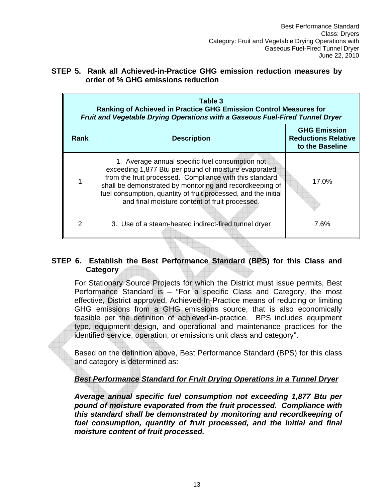| STEP 5. Rank all Achieved-in-Practice GHG emission reduction measures by |  |  |  |
|--------------------------------------------------------------------------|--|--|--|
| order of % GHG emissions reduction                                       |  |  |  |

| Table 3<br>Ranking of Achieved in Practice GHG Emission Control Measures for<br>Fruit and Vegetable Drying Operations with a Gaseous Fuel-Fired Tunnel Dryer |                                                                                                                                                                                                                                                                                                                                                    |                                                                      |  |  |
|--------------------------------------------------------------------------------------------------------------------------------------------------------------|----------------------------------------------------------------------------------------------------------------------------------------------------------------------------------------------------------------------------------------------------------------------------------------------------------------------------------------------------|----------------------------------------------------------------------|--|--|
| <b>Rank</b>                                                                                                                                                  | <b>Description</b>                                                                                                                                                                                                                                                                                                                                 | <b>GHG Emission</b><br><b>Reductions Relative</b><br>to the Baseline |  |  |
| 1                                                                                                                                                            | 1. Average annual specific fuel consumption not<br>exceeding 1,877 Btu per pound of moisture evaporated<br>from the fruit processed. Compliance with this standard<br>shall be demonstrated by monitoring and recordkeeping of<br>fuel consumption, quantity of fruit processed, and the initial<br>and final moisture content of fruit processed. | 17.0%                                                                |  |  |
| 2                                                                                                                                                            | 3. Use of a steam-heated indirect-fired tunnel dryer                                                                                                                                                                                                                                                                                               | 7.6%                                                                 |  |  |

#### **6. Establish the Best Performance Standard (BPS) for this Class and STEP Category**

For Stationary Source Projects for which the District must issue permits, Best Performance Standard is – "For a specific Class and Category, the most effective, District approved, Achieved-In-Practice means of reducing or limiting GHG emissions from a GHG emissions source, that is also economically feasible per the definition of achieved-in-practice. BPS includes equipment type, equipment design, and operational and maintenance practices for the identified service, operation, or emissions unit class and category".

Based on the definition above, Best Performance Standard (BPS) for this class and category is determined as:

#### **Best Performance Standard for Fruit Drying Operations in a Tunnel Dryer**

Average annual specific fuel consumption not exceeding 1,877 Btu per pound of moisture evaporated from the fruit processed. Compliance with  $moisture content of fruit processed.$ *this standard shall be demonstrated by monitoring and recordkeeping of fuel consumption, quantity of fruit processed, and the initial and final*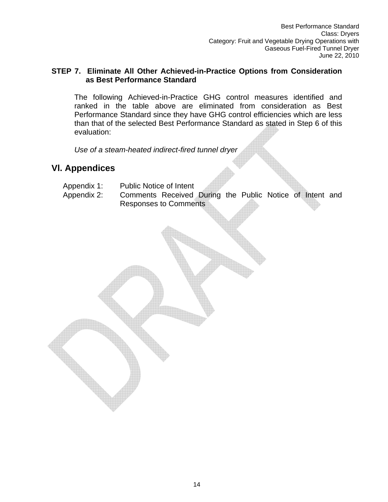#### **STEP 7. Eliminate All Other Achieved-in-Practice Options from Consideration as Best Performance Standard**

The following Achieved-in-Practice GHG control measures identified and ranked in the table above are eliminated from consideration as Best P erformance Standard since they have GHG control efficiencies which are less than that of the selected Best Performanc e Standard as stated in Step 6 of this evaluation:

*Use of a steam-heated indirect-fired tunnel dryer* 

## **Vl. Appendic es**

- Appendix 1 Public Notice of Intent
- Appendix 2: Comments Received During the Public Notice of Intent and R esponses to Comments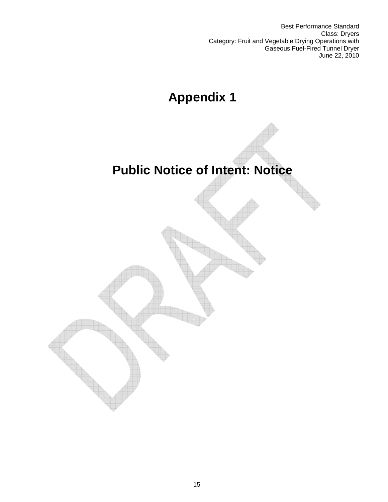Best Performance Standard Class: Dryers Category: Fruit and Vegetable Drying Operations with Gaseous Fuel-Fired Tunnel Dryer June 22, 2010

# **Appendix 1**

## **Public Notice of Intent: Notice**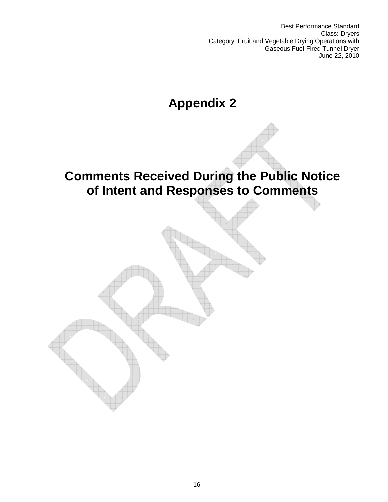Best Performance Standard Class: Dryers Category: Fruit and Vegetable Drying Operations with Gaseous Fuel-Fired Tunnel Dryer June 22, 2010

# **Appendix 2**

## **Comments Received During the Public Notice of Intent and Responses to Comments**